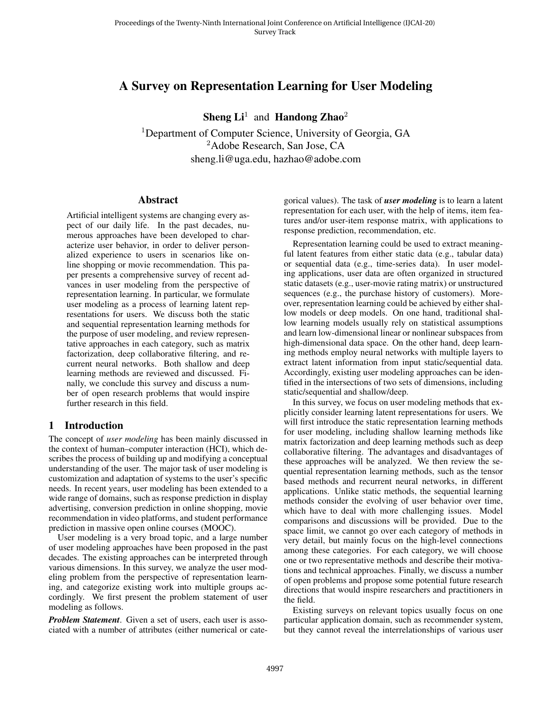# A Survey on Representation Learning for User Modeling

**Sheng Li**<sup>1</sup> and **Handong Zhao**<sup>2</sup>

<sup>1</sup>Department of Computer Science, University of Georgia, GA <sup>2</sup>Adobe Research, San Jose, CA sheng.li@uga.edu, hazhao@adobe.com

#### Abstract

Artificial intelligent systems are changing every aspect of our daily life. In the past decades, numerous approaches have been developed to characterize user behavior, in order to deliver personalized experience to users in scenarios like online shopping or movie recommendation. This paper presents a comprehensive survey of recent advances in user modeling from the perspective of representation learning. In particular, we formulate user modeling as a process of learning latent representations for users. We discuss both the static and sequential representation learning methods for the purpose of user modeling, and review representative approaches in each category, such as matrix factorization, deep collaborative filtering, and recurrent neural networks. Both shallow and deep learning methods are reviewed and discussed. Finally, we conclude this survey and discuss a number of open research problems that would inspire further research in this field.

# 1 Introduction

The concept of *user modeling* has been mainly discussed in the context of human–computer interaction (HCI), which describes the process of building up and modifying a conceptual understanding of the user. The major task of user modeling is customization and adaptation of systems to the user's specific needs. In recent years, user modeling has been extended to a wide range of domains, such as response prediction in display advertising, conversion prediction in online shopping, movie recommendation in video platforms, and student performance prediction in massive open online courses (MOOC).

User modeling is a very broad topic, and a large number of user modeling approaches have been proposed in the past decades. The existing approaches can be interpreted through various dimensions. In this survey, we analyze the user modeling problem from the perspective of representation learning, and categorize existing work into multiple groups accordingly. We first present the problem statement of user modeling as follows.

*Problem Statement*. Given a set of users, each user is associated with a number of attributes (either numerical or categorical values). The task of *user modeling* is to learn a latent representation for each user, with the help of items, item features and/or user-item response matrix, with applications to response prediction, recommendation, etc.

Representation learning could be used to extract meaningful latent features from either static data (e.g., tabular data) or sequential data (e.g., time-series data). In user modeling applications, user data are often organized in structured static datasets (e.g., user-movie rating matrix) or unstructured sequences (e.g., the purchase history of customers). Moreover, representation learning could be achieved by either shallow models or deep models. On one hand, traditional shallow learning models usually rely on statistical assumptions and learn low-dimensional linear or nonlinear subspaces from high-dimensional data space. On the other hand, deep learning methods employ neural networks with multiple layers to extract latent information from input static/sequential data. Accordingly, existing user modeling approaches can be identified in the intersections of two sets of dimensions, including static/sequential and shallow/deep.

In this survey, we focus on user modeling methods that explicitly consider learning latent representations for users. We will first introduce the static representation learning methods for user modeling, including shallow learning methods like matrix factorization and deep learning methods such as deep collaborative filtering. The advantages and disadvantages of these approaches will be analyzed. We then review the sequential representation learning methods, such as the tensor based methods and recurrent neural networks, in different applications. Unlike static methods, the sequential learning methods consider the evolving of user behavior over time, which have to deal with more challenging issues. Model comparisons and discussions will be provided. Due to the space limit, we cannot go over each category of methods in very detail, but mainly focus on the high-level connections among these categories. For each category, we will choose one or two representative methods and describe their motivations and technical approaches. Finally, we discuss a number of open problems and propose some potential future research directions that would inspire researchers and practitioners in the field.

Existing surveys on relevant topics usually focus on one particular application domain, such as recommender system, but they cannot reveal the interrelationships of various user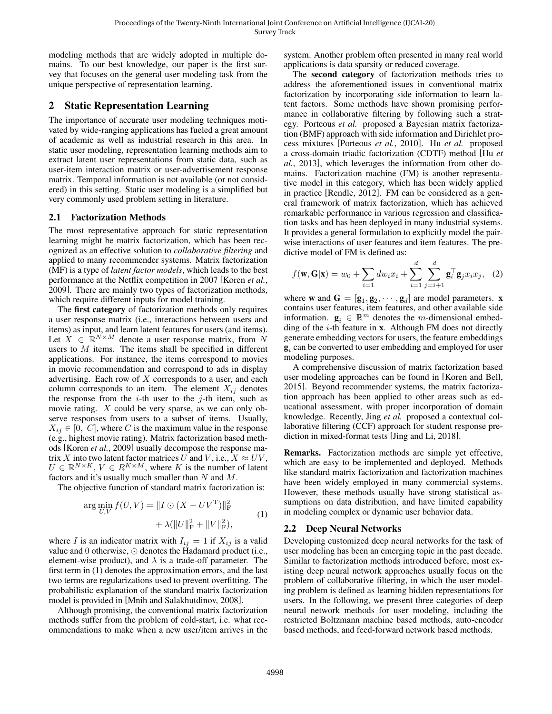modeling methods that are widely adopted in multiple domains. To our best knowledge, our paper is the first survey that focuses on the general user modeling task from the unique perspective of representation learning.

# <span id="page-1-1"></span>2 Static Representation Learning

The importance of accurate user modeling techniques motivated by wide-ranging applications has fueled a great amount of academic as well as industrial research in this area. In static user modeling, representation learning methods aim to extract latent user representations from static data, such as user-item interaction matrix or user-advertisement response matrix. Temporal information is not available (or not considered) in this setting. Static user modeling is a simplified but very commonly used problem setting in literature.

#### <span id="page-1-2"></span>2.1 Factorization Methods

The most representative approach for static representation learning might be matrix factorization, which has been recognized as an effective solution to *collaborative filtering* and applied to many recommender systems. Matrix factorization (MF) is a type of *latent factor models*, which leads to the best performance at the Netflix competition in 2007 [\[Koren](#page-6-0) *et al.*, [2009\]](#page-6-0). There are mainly two types of factorization methods, which require different inputs for model training.

The first category of factorization methods only requires a user response matrix (i.e., interactions between users and items) as input, and learn latent features for users (and items). Let  $X \in \mathbb{R}^{N \times M}$  denote a user response matrix, from N users to M items. The items shall be specified in different applications. For instance, the items correspond to movies in movie recommendation and correspond to ads in display advertising. Each row of  $X$  corresponds to a user, and each column corresponds to an item. The element  $X_{ij}$  denotes the response from the  $i$ -th user to the  $j$ -th item, such as movie rating. X could be very sparse, as we can only observe responses from users to a subset of items. Usually,  $X_{ij} \in [0, C]$ , where C is the maximum value in the response (e.g., highest movie rating). Matrix factorization based methods [Koren *et al.*[, 2009\]](#page-6-0) usually decompose the response matrix X into two latent factor matrices U and V, i.e.,  $X \approx UV$ ,  $U \in \mathbb{R}^{N \times K}$ ,  $V \in R^{K \times M}$ , where K is the number of latent factors and it's usually much smaller than N and  $M$ .

The objective function of standard matrix factorization is:

$$
\arg\min_{U,V} f(U,V) = ||I \odot (X - UV^{\mathrm{T}})||_{\mathrm{F}}^{2} + \lambda (||U||_{\mathrm{F}}^{2} + ||V||_{\mathrm{F}}^{2}),
$$
\n(1)

where I is an indicator matrix with  $I_{ij} = 1$  if  $X_{ij}$  is a valid value and 0 otherwise,  $\odot$  denotes the Hadamard product (i.e., element-wise product), and  $\lambda$  is a trade-off parameter. The first term in [\(1\)](#page-1-0) denotes the approximation errors, and the last two terms are regularizations used to prevent overfitting. The probabilistic explanation of the standard matrix factorization model is provided in [\[Mnih and Salakhutdinov, 2008\]](#page-6-1).

Although promising, the conventional matrix factorization methods suffer from the problem of cold-start, i.e. what recommendations to make when a new user/item arrives in the system. Another problem often presented in many real world applications is data sparsity or reduced coverage.

The second category of factorization methods tries to address the aforementioned issues in conventional matrix factorization by incorporating side information to learn latent factors. Some methods have shown promising performance in collaborative filtering by following such a strategy. Porteous *et al.* proposed a Bayesian matrix factorization (BMF) approach with side information and Dirichlet process mixtures [\[Porteous](#page-6-2) *et al.*, 2010]. Hu *et al.* proposed a cross-domain triadic factorization (CDTF) method [\[Hu](#page-5-0) *et al.*[, 2013\]](#page-5-0), which leverages the information from other domains. Factorization machine (FM) is another representative model in this category, which has been widely applied in practice [\[Rendle, 2012\]](#page-6-3). FM can be considered as a general framework of matrix factorization, which has achieved remarkable performance in various regression and classification tasks and has been deployed in many industrial systems. It provides a general formulation to explicitly model the pairwise interactions of user features and item features. The predictive model of FM is defined as:

$$
f(\mathbf{w}, \mathbf{G}|\mathbf{x}) = w_0 + \sum_{i=1}^d dw_i x_i + \sum_{i=1}^d \sum_{j=i+1}^d \mathbf{g}_i^{\top} \mathbf{g}_j x_i x_j, \quad (2)
$$

where **w** and  $G = [g_1, g_2, \dots, g_d]$  are model parameters. **x** contains user features, item features, and other available side information.  $\mathbf{g}_i \in \mathbb{R}^m$  denotes the *m*-dimensional embedding of the  $i$ -th feature in  $x$ . Although FM does not directly generate embedding vectors for users, the feature embeddings  $\mathbf{g}_i$  can be converted to user embedding and employed for user modeling purposes.

A comprehensive discussion of matrix factorization based user modeling approaches can be found in [\[Koren and Bell,](#page-6-4) [2015\]](#page-6-4). Beyond recommender systems, the matrix factorization approach has been applied to other areas such as educational assessment, with proper incorporation of domain knowledge. Recently, Jing *et al.* proposed a contextual collaborative filtering (CCF) approach for student response prediction in mixed-format tests [\[Jing and Li, 2018\]](#page-5-1).

<span id="page-1-0"></span>Remarks. Factorization methods are simple yet effective, which are easy to be implemented and deployed. Methods like standard matrix factorization and factorization machines have been widely employed in many commercial systems. However, these methods usually have strong statistical assumptions on data distribution, and have limited capability in modeling complex or dynamic user behavior data.

### 2.2 Deep Neural Networks

Developing customized deep neural networks for the task of user modeling has been an emerging topic in the past decade. Similar to factorization methods introduced before, most existing deep neural network approaches usually focus on the problem of collaborative filtering, in which the user modeling problem is defined as learning hidden representations for users. In the following, we present three categories of deep neural network methods for user modeling, including the restricted Boltzmann machine based methods, auto-encoder based methods, and feed-forward network based methods.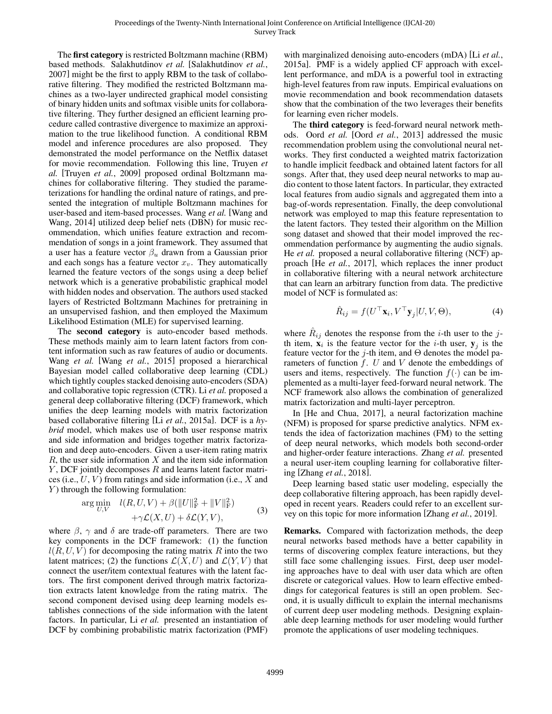The first category is restricted Boltzmann machine (RBM) based methods. Salakhutdinov *et al.* [\[Salakhutdinov](#page-6-5) *et al.*, [2007\]](#page-6-5) might be the first to apply RBM to the task of collaborative filtering. They modified the restricted Boltzmann machines as a two-layer undirected graphical model consisting of binary hidden units and softmax visible units for collaborative filtering. They further designed an efficient learning procedure called contrastive divergence to maximize an approximation to the true likelihood function. A conditional RBM model and inference procedures are also proposed. They demonstrated the model performance on the Netflix dataset for movie recommendation. Following this line, Truyen *et al.* [\[Truyen](#page-6-6) *et al.*, 2009] proposed ordinal Boltzmann machines for collaborative filtering. They studied the parameterizations for handling the ordinal nature of ratings, and presented the integration of multiple Boltzmann machines for user-based and item-based processes. Wang *et al.* [\[Wang and](#page-6-7) [Wang, 2014\]](#page-6-7) utilized deep belief nets (DBN) for music recommendation, which unifies feature extraction and recommendation of songs in a joint framework. They assumed that a user has a feature vector  $\beta_u$  drawn from a Gaussian prior and each songs has a feature vector  $x_v$ . They automatically learned the feature vectors of the songs using a deep belief network which is a generative probabilistic graphical model with hidden nodes and observation. The authors used stacked layers of Restricted Boltzmann Machines for pretraining in an unsupervised fashion, and then employed the Maximum Likelihood Estimation (MLE) for supervised learning.

The second category is auto-encoder based methods. These methods mainly aim to learn latent factors from content information such as raw features of audio or documents. Wang *et al.* [Wang *et al.*[, 2015\]](#page-6-8) proposed a hierarchical Bayesian model called collaborative deep learning (CDL) which tightly couples stacked denoising auto-encoders (SDA) and collaborative topic regression (CTR). Li *et al.* proposed a general deep collaborative filtering (DCF) framework, which unifies the deep learning models with matrix factorization based collaborative filtering [Li *et al.*[, 2015a\]](#page-6-9). DCF is a *hybrid* model, which makes use of both user response matrix and side information and bridges together matrix factorization and deep auto-encoders. Given a user-item rating matrix  $R$ , the user side information  $X$  and the item side information  $Y$ , DCF jointly decomposes  $R$  and learns latent factor matrices (i.e.,  $U$ ,  $V$ ) from ratings and side information (i.e.,  $X$  and  $Y$ ) through the following formulation:

$$
\arg\min_{U,V} \quad l(R,U,V) + \beta(||U||_F^2 + ||V||_F^2) \n+ \gamma \mathcal{L}(X,U) + \delta \mathcal{L}(Y,V),
$$
\n(3)

where  $\beta$ ,  $\gamma$  and  $\delta$  are trade-off parameters. There are two key components in the DCF framework: (1) the function  $l(R, U, V)$  for decomposing the rating matrix R into the two latent matrices; (2) the functions  $\mathcal{L}(X, U)$  and  $\mathcal{L}(Y, V)$  that connect the user/item contextual features with the latent factors. The first component derived through matrix factorization extracts latent knowledge from the rating matrix. The second component devised using deep learning models establishes connections of the side information with the latent factors. In particular, Li *et al.* presented an instantiation of DCF by combining probabilistic matrix factorization (PMF) with marginalized denoising auto-encoders (mDA) [Li *[et al.](#page-6-9)*, [2015a\]](#page-6-9). PMF is a widely applied CF approach with excellent performance, and mDA is a powerful tool in extracting high-level features from raw inputs. Empirical evaluations on movie recommendation and book recommendation datasets show that the combination of the two leverages their benefits for learning even richer models.

The third category is feed-forward neural network methods. Oord *et al.* [Oord *et al.*[, 2013\]](#page-6-10) addressed the music recommendation problem using the convolutional neural networks. They first conducted a weighted matrix factorization to handle implicit feedback and obtained latent factors for all songs. After that, they used deep neural networks to map audio content to those latent factors. In particular, they extracted local features from audio signals and aggregated them into a bag-of-words representation. Finally, the deep convolutional network was employed to map this feature representation to the latent factors. They tested their algorithm on the Million song dataset and showed that their model improved the recommendation performance by augmenting the audio signals. He *et al.* proposed a neural collaborative filtering (NCF) approach [He *et al.*[, 2017\]](#page-5-2), which replaces the inner product in collaborative filtering with a neural network architecture that can learn an arbitrary function from data. The predictive model of NCF is formulated as:

$$
\hat{R}_{ij} = f(U^{\top} \mathbf{x}_i, V^{\top} \mathbf{y}_j | U, V, \Theta), \tag{4}
$$

where  $\hat{R}_{ij}$  denotes the response from the *i*-th user to the *j*th item,  $x_i$  is the feature vector for the *i*-th user,  $y_j$  is the feature vector for the j-th item, and  $\Theta$  denotes the model parameters of function  $f$ . U and V denote the embeddings of users and items, respectively. The function  $f(\cdot)$  can be implemented as a multi-layer feed-forward neural network. The NCF framework also allows the combination of generalized matrix factorization and multi-layer perceptron.

In [\[He and Chua, 2017\]](#page-5-3), a neural factorization machine (NFM) is proposed for sparse predictive analytics. NFM extends the idea of factorization machines (FM) to the setting of deep neural networks, which models both second-order and higher-order feature interactions. Zhang *et al.* presented a neural user-item coupling learning for collaborative filtering [\[Zhang](#page-6-11) *et al.*, 2018].

Deep learning based static user modeling, especially the deep collaborative filtering approach, has been rapidly developed in recent years. Readers could refer to an excellent survey on this topic for more information [\[Zhang](#page-6-12) *et al.*, 2019].

Remarks. Compared with factorization methods, the deep neural networks based methods have a better capability in terms of discovering complex feature interactions, but they still face some challenging issues. First, deep user modeling approaches have to deal with user data which are often discrete or categorical values. How to learn effective embeddings for categorical features is still an open problem. Second, it is usually difficult to explain the internal mechanisms of current deep user modeling methods. Designing explainable deep learning methods for user modeling would further promote the applications of user modeling techniques.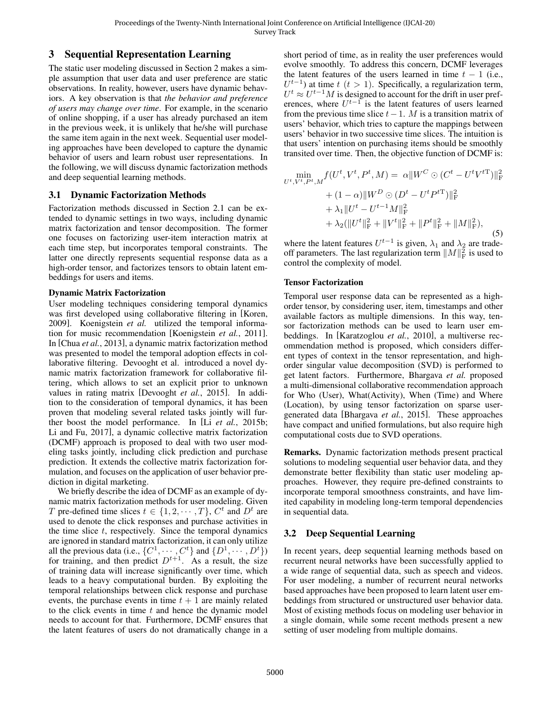## 3 Sequential Representation Learning

The static user modeling discussed in Section [2](#page-1-1) makes a simple assumption that user data and user preference are static observations. In reality, however, users have dynamic behaviors. A key observation is that *the behavior and preference of users may change over time*. For example, in the scenario of online shopping, if a user has already purchased an item in the previous week, it is unlikely that he/she will purchase the same item again in the next week. Sequential user modeling approaches have been developed to capture the dynamic behavior of users and learn robust user representations. In the following, we will discuss dynamic factorization methods and deep sequential learning methods.

#### 3.1 Dynamic Factorization Methods

Factorization methods discussed in Section [2.1](#page-1-2) can be extended to dynamic settings in two ways, including dynamic matrix factorization and tensor decomposition. The former one focuses on factorizing user-item interaction matrix at each time step, but incorporates temporal constraints. The latter one directly represents sequential response data as a high-order tensor, and factorizes tensors to obtain latent embeddings for users and items.

#### Dynamic Matrix Factorization

User modeling techniques considering temporal dynamics was first developed using collaborative filtering in [\[Koren,](#page-6-13) [2009\]](#page-6-13). Koenigstein *et al.* utilized the temporal information for music recommendation [\[Koenigstein](#page-6-14) *et al.*, 2011]. In [Chua *et al.*[, 2013\]](#page-5-4), a dynamic matrix factorization method was presented to model the temporal adoption effects in collaborative filtering. Devooght et al. introduced a novel dynamic matrix factorization framework for collaborative filtering, which allows to set an explicit prior to unknown values in rating matrix [\[Devooght](#page-5-5) *et al.*, 2015]. In addition to the consideration of temporal dynamics, it has been proven that modeling several related tasks jointly will further boost the model performance. In [Li *et al.*[, 2015b;](#page-6-15) [Li and Fu, 2017\]](#page-6-16), a dynamic collective matrix factorization (DCMF) approach is proposed to deal with two user modeling tasks jointly, including click prediction and purchase prediction. It extends the collective matrix factorization formulation, and focuses on the application of user behavior prediction in digital marketing.

We briefly describe the idea of DCMF as an example of dynamic matrix factorization methods for user modeling. Given T pre-defined time slices  $t \in \{1, 2, \cdots, T\}$ ,  $C^t$  and  $D^t$  are used to denote the click responses and purchase activities in the time slice  $t$ , respectively. Since the temporal dynamics are ignored in standard matrix factorization, it can only utilize all the previous data (i.e.,  $\{C^1, \dots, C^t\}$  and  $\{D^1, \dots, D^t\}$ ) for training, and then predict  $D^{t+1}$ . As a result, the size of training data will increase significantly over time, which leads to a heavy computational burden. By exploiting the temporal relationships between click response and purchase events, the purchase events in time  $t + 1$  are mainly related to the click events in time  $t$  and hence the dynamic model needs to account for that. Furthermore, DCMF ensures that the latent features of users do not dramatically change in a short period of time, as in reality the user preferences would evolve smoothly. To address this concern, DCMF leverages the latent features of the users learned in time  $t - 1$  (i.e.,  $U^{t-1}$ ) at time  $t$   $(t > 1)$ . Specifically, a regularization term,  $U^t \approx U^{t-1}M$  is designed to account for the drift in user preferences, where  $U^{t-1}$  is the latent features of users learned from the previous time slice  $t-1$ . M is a transition matrix of users' behavior, which tries to capture the mappings between users' behavior in two successive time slices. The intuition is that users' intention on purchasing items should be smoothly transited over time. Then, the objective function of DCMF is:

$$
\min_{U^t, V^t, P^t, M} f(U^t, V^t, P^t, M) = \alpha \|W^C \odot (C^t - U^t V^{tT})\|_{\mathrm{F}}^2 \n+ (1 - \alpha) \|W^D \odot (D^t - U^t P^{tT})\|_{\mathrm{F}}^2 \n+ \lambda_1 \|U^t - U^{t-1}M\|_{\mathrm{F}}^2 \n+ \lambda_2 (\|U^t\|_{\mathrm{F}}^2 + \|V^t\|_{\mathrm{F}}^2 + \|P^t\|_{\mathrm{F}}^2 + \|M\|_{\mathrm{F}}^2),
$$
\n(5)

where the latent features  $U^{t-1}$  is given,  $\lambda_1$  and  $\lambda_2$  are tradeoff parameters. The last regularization term  $||M||_F^2$  is used to control the complexity of model.

#### Tensor Factorization

Temporal user response data can be represented as a highorder tensor, by considering user, item, timestamps and other available factors as multiple dimensions. In this way, tensor factorization methods can be used to learn user embeddings. In [\[Karatzoglou](#page-5-6) *et al.*, 2010], a multiverse recommendation method is proposed, which considers different types of context in the tensor representation, and highorder singular value decomposition (SVD) is performed to get latent factors. Furthermore, Bhargava *et al.* proposed a multi-dimensional collaborative recommendation approach for Who (User), What(Activity), When (Time) and Where (Location), by using tensor factorization on sparse usergenerated data [\[Bhargava](#page-5-7) *et al.*, 2015]. These approaches have compact and unified formulations, but also require high computational costs due to SVD operations.

Remarks. Dynamic factorization methods present practical solutions to modeling sequential user behavior data, and they demonstrate better flexibility than static user modeling approaches. However, they require pre-defined constraints to incorporate temporal smoothness constraints, and have limited capability in modeling long-term temporal dependencies in sequential data.

### 3.2 Deep Sequential Learning

In recent years, deep sequential learning methods based on recurrent neural networks have been successfully applied to a wide range of sequential data, such as speech and videos. For user modeling, a number of recurrent neural networks based approaches have been proposed to learn latent user embeddings from structured or unstructured user behavior data. Most of existing methods focus on modeling user behavior in a single domain, while some recent methods present a new setting of user modeling from multiple domains.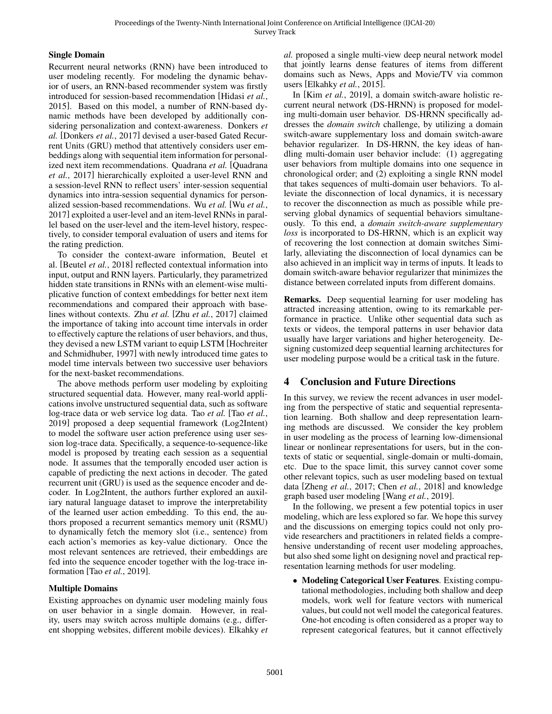#### Single Domain

Recurrent neural networks (RNN) have been introduced to user modeling recently. For modeling the dynamic behavior of users, an RNN-based recommender system was firstly introduced for session-based recommendation [\[Hidasi](#page-5-8) *et al.*, [2015\]](#page-5-8). Based on this model, a number of RNN-based dynamic methods have been developed by additionally considering personalization and context-awareness. Donkers *et al.* [\[Donkers](#page-5-9) *et al.*, 2017] devised a user-based Gated Recurrent Units (GRU) method that attentively considers user embeddings along with sequential item information for personalized next item recommendations. Quadrana *et al.* [\[Quadrana](#page-6-17) *et al.*[, 2017\]](#page-6-17) hierarchically exploited a user-level RNN and a session-level RNN to reflect users' inter-session sequential dynamics into intra-session sequential dynamics for personalized session-based recommendations. Wu *et al.* [Wu *[et al.](#page-6-18)*, [2017\]](#page-6-18) exploited a user-level and an item-level RNNs in parallel based on the user-level and the item-level history, respectively, to consider temporal evaluation of users and items for the rating prediction.

To consider the context-aware information, Beutel et al. [\[Beutel](#page-5-10) *et al.*, 2018] reflected contextual information into input, output and RNN layers. Particularly, they parametrized hidden state transitions in RNNs with an element-wise multiplicative function of context embeddings for better next item recommendations and compared their approach with baselines without contexts. Zhu *et al.* [Zhu *et al.*[, 2017\]](#page-6-19) claimed the importance of taking into account time intervals in order to effectively capture the relations of user behaviors, and thus, they devised a new LSTM variant to equip LSTM [\[Hochreiter](#page-5-11) [and Schmidhuber, 1997\]](#page-5-11) with newly introduced time gates to model time intervals between two successive user behaviors for the next-basket recommendations.

The above methods perform user modeling by exploiting structured sequential data. However, many real-world applications involve unstructured sequential data, such as software log-trace data or web service log data. Tao *et al.* [Tao *[et al.](#page-6-20)*, [2019\]](#page-6-20) proposed a deep sequential framework (Log2Intent) to model the software user action preference using user session log-trace data. Specifically, a sequence-to-sequence-like model is proposed by treating each session as a sequential node. It assumes that the temporally encoded user action is capable of predicting the next actions in decoder. The gated recurrent unit (GRU) is used as the sequence encoder and decoder. In Log2Intent, the authors further explored an auxiliary natural language dataset to improve the interpretability of the learned user action embedding. To this end, the authors proposed a recurrent semantics memory unit (RSMU) to dynamically fetch the memory slot (i.e., sentence) from each action's memories as key-value dictionary. Once the most relevant sentences are retrieved, their embeddings are fed into the sequence encoder together with the log-trace information [Tao *et al.*[, 2019\]](#page-6-20).

#### Multiple Domains

Existing approaches on dynamic user modeling mainly fous on user behavior in a single domain. However, in reality, users may switch across multiple domains (e.g., different shopping websites, different mobile devices). Elkahky *et* *al.* proposed a single multi-view deep neural network model that jointly learns dense features of items from different domains such as News, Apps and Movie/TV via common users [\[Elkahky](#page-5-12) *et al.*, 2015].

In [Kim *et al.*[, 2019\]](#page-6-21), a domain switch-aware holistic recurrent neural network (DS-HRNN) is proposed for modeling multi-domain user behavior. DS-HRNN specifically addresses the *domain switch* challenge, by utilizing a domain switch-aware supplementary loss and domain switch-aware behavior regularizer. In DS-HRNN, the key ideas of handling multi-domain user behavior include: (1) aggregating user behaviors from multiple domains into one sequence in chronological order; and (2) exploiting a single RNN model that takes sequences of multi-domain user behaviors. To alleviate the disconnection of local dynamics, it is necessary to recover the disconnection as much as possible while preserving global dynamics of sequential behaviors simultaneously. To this end, a *domain switch-aware supplementary loss* is incorporated to DS-HRNN, which is an explicit way of recovering the lost connection at domain switches Similarly, alleviating the disconnection of local dynamics can be also achieved in an implicit way in terms of inputs. It leads to domain switch-aware behavior regularizer that minimizes the distance between correlated inputs from different domains.

Remarks. Deep sequential learning for user modeling has attracted increasing attention, owing to its remarkable performance in practice. Unlike other sequential data such as texts or videos, the temporal patterns in user behavior data usually have larger variations and higher heterogeneity. Designing customized deep sequential learning architectures for user modeling purpose would be a critical task in the future.

# 4 Conclusion and Future Directions

In this survey, we review the recent advances in user modeling from the perspective of static and sequential representation learning. Both shallow and deep representation learning methods are discussed. We consider the key problem in user modeling as the process of learning low-dimensional linear or nonlinear representations for users, but in the contexts of static or sequential, single-domain or multi-domain, etc. Due to the space limit, this survey cannot cover some other relevant topics, such as user modeling based on textual data [\[Zheng](#page-6-22) *et al.*, 2017; Chen *et al.*[, 2018\]](#page-5-13) and knowledge graph based user modeling [Wang *et al.*[, 2019\]](#page-6-23).

In the following, we present a few potential topics in user modeling, which are less explored so far. We hope this survey and the discussions on emerging topics could not only provide researchers and practitioners in related fields a comprehensive understanding of recent user modeling approaches, but also shed some light on designing novel and practical representation learning methods for user modeling.

• Modeling Categorical User Features. Existing computational methodologies, including both shallow and deep models, work well for feature vectors with numerical values, but could not well model the categorical features. One-hot encoding is often considered as a proper way to represent categorical features, but it cannot effectively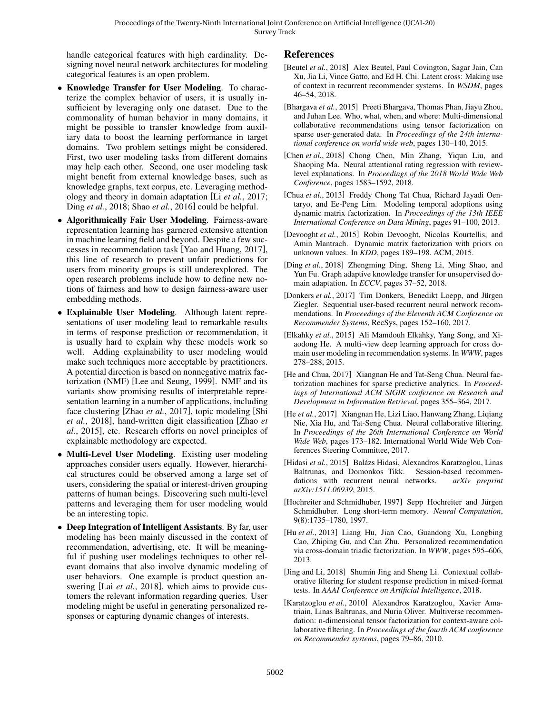handle categorical features with high cardinality. Designing novel neural network architectures for modeling categorical features is an open problem.

- Knowledge Transfer for User Modeling. To characterize the complex behavior of users, it is usually insufficient by leveraging only one dataset. Due to the commonality of human behavior in many domains, it might be possible to transfer knowledge from auxiliary data to boost the learning performance in target domains. Two problem settings might be considered. First, two user modeling tasks from different domains may help each other. Second, one user modeling task might benefit from external knowledge bases, such as knowledge graphs, text corpus, etc. Leveraging methodology and theory in domain adaptation [Li *et al.*[, 2017;](#page-6-24) Ding *et al.*[, 2018;](#page-5-14) Shao *et al.*[, 2016\]](#page-6-25) could be helpful.
- Algorithmically Fair User Modeling. Fairness-aware representation learning has garnered extensive attention in machine learning field and beyond. Despite a few successes in recommendation task [\[Yao and Huang, 2017\]](#page-6-26), this line of research to prevent unfair predictions for users from minority groups is still underexplored. The open research problems include how to define new notions of fairness and how to design fairness-aware user embedding methods.
- Explainable User Modeling. Although latent representations of user modeling lead to remarkable results in terms of response prediction or recommendation, it is usually hard to explain why these models work so well. Adding explainability to user modeling would make such techniques more acceptable by practitioners. A potential direction is based on nonnegative matrix factorization (NMF) [\[Lee and Seung, 1999\]](#page-6-27). NMF and its variants show promising results of interpretable representation learning in a number of applications, including face clustering [Zhao *et al.*[, 2017\]](#page-6-28), topic modeling [\[Shi](#page-6-29) *et al.*[, 2018\]](#page-6-29), hand-written digit classification [\[Zhao](#page-6-30) *et al.*[, 2015\]](#page-6-30), etc. Research efforts on novel principles of explainable methodology are expected.
- Multi-Level User Modeling. Existing user modeling approaches consider users equally. However, hierarchical structures could be observed among a large set of users, considering the spatial or interest-driven grouping patterns of human beings. Discovering such multi-level patterns and leveraging them for user modeling would be an interesting topic.
- Deep Integration of Intelligent Assistants. By far, user modeling has been mainly discussed in the context of recommendation, advertising, etc. It will be meaningful if pushing user modelings techniques to other relevant domains that also involve dynamic modeling of user behaviors. One example is product question answering [Lai *et al.*[, 2018\]](#page-6-31), which aims to provide customers the relevant information regarding queries. User modeling might be useful in generating personalized responses or capturing dynamic changes of interests.

## References

- <span id="page-5-10"></span>[Beutel *et al.*, 2018] Alex Beutel, Paul Covington, Sagar Jain, Can Xu, Jia Li, Vince Gatto, and Ed H. Chi. Latent cross: Making use of context in recurrent recommender systems. In *WSDM*, pages 46–54, 2018.
- <span id="page-5-7"></span>[Bhargava *et al.*, 2015] Preeti Bhargava, Thomas Phan, Jiayu Zhou, and Juhan Lee. Who, what, when, and where: Multi-dimensional collaborative recommendations using tensor factorization on sparse user-generated data. In *Proceedings of the 24th international conference on world wide web*, pages 130–140, 2015.
- <span id="page-5-13"></span>[Chen et al., 2018] Chong Chen, Min Zhang, Yiqun Liu, and Shaoping Ma. Neural attentional rating regression with reviewlevel explanations. In *Proceedings of the 2018 World Wide Web Conference*, pages 1583–1592, 2018.
- <span id="page-5-4"></span>[Chua *et al.*, 2013] Freddy Chong Tat Chua, Richard Jayadi Oentaryo, and Ee-Peng Lim. Modeling temporal adoptions using dynamic matrix factorization. In *Proceedings of the 13th IEEE International Conference on Data Mining*, pages 91–100, 2013.
- <span id="page-5-5"></span>[Devooght *et al.*, 2015] Robin Devooght, Nicolas Kourtellis, and Amin Mantrach. Dynamic matrix factorization with priors on unknown values. In *KDD*, pages 189–198. ACM, 2015.
- <span id="page-5-14"></span>[Ding *et al.*, 2018] Zhengming Ding, Sheng Li, Ming Shao, and Yun Fu. Graph adaptive knowledge transfer for unsupervised domain adaptation. In *ECCV*, pages 37–52, 2018.
- <span id="page-5-9"></span>[Donkers et al., 2017] Tim Donkers, Benedikt Loepp, and Jürgen Ziegler. Sequential user-based recurrent neural network recommendations. In *Proceedings of the Eleventh ACM Conference on Recommender Systems*, RecSys, pages 152–160, 2017.
- <span id="page-5-12"></span>[Elkahky *et al.*, 2015] Ali Mamdouh Elkahky, Yang Song, and Xiaodong He. A multi-view deep learning approach for cross domain user modeling in recommendation systems. In *WWW*, pages 278–288, 2015.
- <span id="page-5-3"></span>[He and Chua, 2017] Xiangnan He and Tat-Seng Chua. Neural factorization machines for sparse predictive analytics. In *Proceedings of International ACM SIGIR conference on Research and Development in Information Retrieval*, pages 355–364, 2017.
- <span id="page-5-2"></span>[He *et al.*, 2017] Xiangnan He, Lizi Liao, Hanwang Zhang, Liqiang Nie, Xia Hu, and Tat-Seng Chua. Neural collaborative filtering. In *Proceedings of the 26th International Conference on World Wide Web*, pages 173–182. International World Wide Web Conferences Steering Committee, 2017.
- <span id="page-5-8"></span>[Hidasi et al., 2015] Balázs Hidasi, Alexandros Karatzoglou, Linas Baltrunas, and Domonkos Tikk. Session-based recommendations with recurrent neural networks. *arXiv preprint arXiv:1511.06939*, 2015.
- <span id="page-5-11"></span>[Hochreiter and Schmidhuber, 1997] Sepp Hochreiter and Jürgen Schmidhuber. Long short-term memory. *Neural Computation*, 9(8):1735–1780, 1997.
- <span id="page-5-0"></span>[Hu *et al.*, 2013] Liang Hu, Jian Cao, Guandong Xu, Longbing Cao, Zhiping Gu, and Can Zhu. Personalized recommendation via cross-domain triadic factorization. In *WWW*, pages 595–606, 2013.
- <span id="page-5-1"></span>[Jing and Li, 2018] Shumin Jing and Sheng Li. Contextual collaborative filtering for student response prediction in mixed-format tests. In *AAAI Conference on Artificial Intelligence*, 2018.
- <span id="page-5-6"></span>[Karatzoglou *et al.*, 2010] Alexandros Karatzoglou, Xavier Amatriain, Linas Baltrunas, and Nuria Oliver. Multiverse recommendation: n-dimensional tensor factorization for context-aware collaborative filtering. In *Proceedings of the fourth ACM conference on Recommender systems*, pages 79–86, 2010.